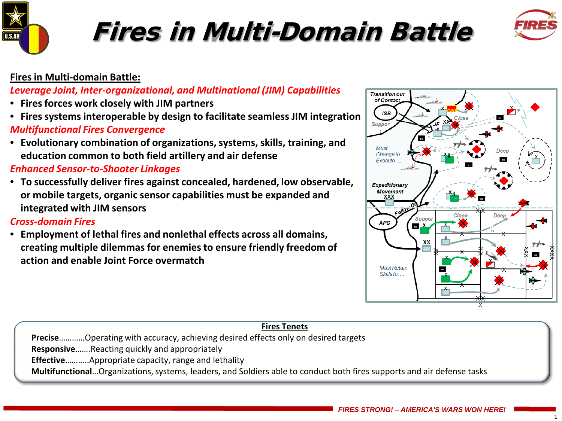

# Fires in Multi-Domain Battle



### **Fires in Multi-domain Battle:**

*Leverage Joint, Inter-organizational, and Multinational (JIM) Capabilities*

- **Fires forces work closely with JIM partners**
- **Fires systems interoperable by design to facilitate seamless JIM integration** *Multifunctional Fires Convergence*
- **Evolutionary combination of organizations, systems, skills, training, and education common to both field artillery and air defense**

### *Enhanced Sensor-to-Shooter Linkages*

• **To successfully deliver fires against concealed, hardened, low observable, or mobile targets, organic sensor capabilities must be expanded and integrated with JIM sensors**

### *Cross-domain Fires*

• **Employment of lethal fires and nonlethal effects across all domains, creating multiple dilemmas for enemies to ensure friendly freedom of action and enable Joint Force overmatch** 



| <b>Fires Tenets</b>                                                                                                    |
|------------------------------------------------------------------------------------------------------------------------|
| PreciseOperating with accuracy, achieving desired effects only on desired targets                                      |
| <b>ResponsiveReacting quickly and appropriately</b>                                                                    |
| <b>Effective</b> Appropriate capacity, range and lethality                                                             |
| MultifunctionalOrganizations, systems, leaders, and Soldiers able to conduct both fires supports and air defense tasks |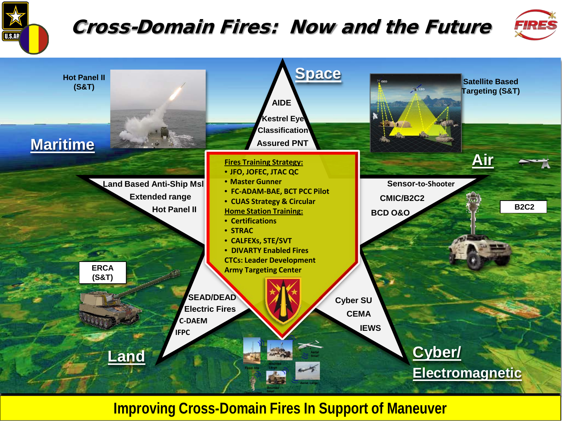

## Cross-Domain Fires: Now and the Future



2



*FIRES STRONG! – AMERICA'S WARS WON HERE!* **Improving Cross-Domain Fires In Support of Maneuver**